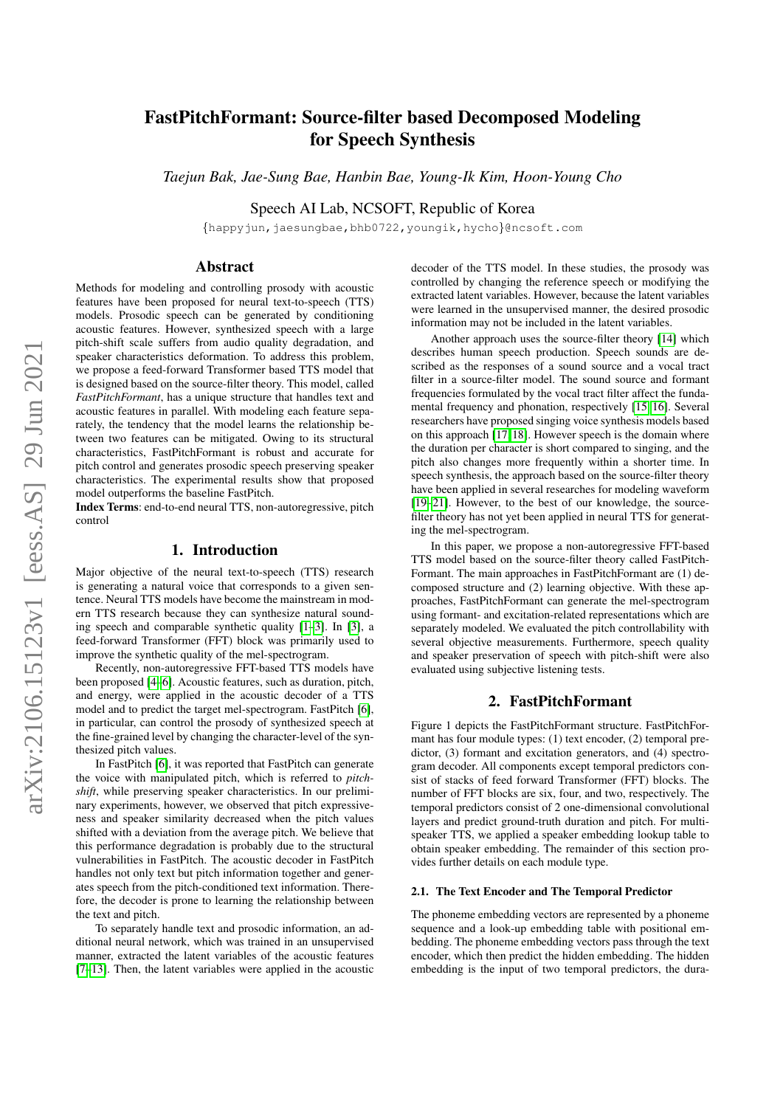# arXiv:2106.15123v1 [eess.AS] 29 Jun 2021 arXiv:2106.15123v1 [eess.AS] 29 Jun 2021

# FastPitchFormant: Source-filter based Decomposed Modeling for Speech Synthesis

*Taejun Bak, Jae-Sung Bae, Hanbin Bae, Young-Ik Kim, Hoon-Young Cho*

Speech AI Lab, NCSOFT, Republic of Korea

{happyjun,jaesungbae,bhb0722,youngik,hycho}@ncsoft.com

# Abstract

Methods for modeling and controlling prosody with acoustic features have been proposed for neural text-to-speech (TTS) models. Prosodic speech can be generated by conditioning acoustic features. However, synthesized speech with a large pitch-shift scale suffers from audio quality degradation, and speaker characteristics deformation. To address this problem, we propose a feed-forward Transformer based TTS model that is designed based on the source-filter theory. This model, called *FastPitchFormant*, has a unique structure that handles text and acoustic features in parallel. With modeling each feature separately, the tendency that the model learns the relationship between two features can be mitigated. Owing to its structural characteristics, FastPitchFormant is robust and accurate for pitch control and generates prosodic speech preserving speaker characteristics. The experimental results show that proposed model outperforms the baseline FastPitch.

Index Terms: end-to-end neural TTS, non-autoregressive, pitch control

# 1. Introduction

Major objective of the neural text-to-speech (TTS) research is generating a natural voice that corresponds to a given sentence. Neural TTS models have become the mainstream in modern TTS research because they can synthesize natural sounding speech and comparable synthetic quality [\[1](#page-4-0)[–3\]](#page-4-1). In [\[3\]](#page-4-1), a feed-forward Transformer (FFT) block was primarily used to improve the synthetic quality of the mel-spectrogram.

Recently, non-autoregressive FFT-based TTS models have been proposed [\[4–](#page-4-2)[6\]](#page-4-3). Acoustic features, such as duration, pitch, and energy, were applied in the acoustic decoder of a TTS model and to predict the target mel-spectrogram. FastPitch [\[6\]](#page-4-3), in particular, can control the prosody of synthesized speech at the fine-grained level by changing the character-level of the synthesized pitch values.

In FastPitch [\[6\]](#page-4-3), it was reported that FastPitch can generate the voice with manipulated pitch, which is referred to *pitchshift*, while preserving speaker characteristics. In our preliminary experiments, however, we observed that pitch expressiveness and speaker similarity decreased when the pitch values shifted with a deviation from the average pitch. We believe that this performance degradation is probably due to the structural vulnerabilities in FastPitch. The acoustic decoder in FastPitch handles not only text but pitch information together and generates speech from the pitch-conditioned text information. Therefore, the decoder is prone to learning the relationship between the text and pitch.

To separately handle text and prosodic information, an additional neural network, which was trained in an unsupervised manner, extracted the latent variables of the acoustic features [\[7–](#page-4-4)[13\]](#page-4-5). Then, the latent variables were applied in the acoustic decoder of the TTS model. In these studies, the prosody was controlled by changing the reference speech or modifying the extracted latent variables. However, because the latent variables were learned in the unsupervised manner, the desired prosodic information may not be included in the latent variables.

Another approach uses the source-filter theory [\[14\]](#page-4-6) which describes human speech production. Speech sounds are described as the responses of a sound source and a vocal tract filter in a source-filter model. The sound source and formant frequencies formulated by the vocal tract filter affect the fundamental frequency and phonation, respectively [\[15,](#page-4-7) [16\]](#page-4-8). Several researchers have proposed singing voice synthesis models based on this approach [\[17,](#page-4-9) [18\]](#page-4-10). However speech is the domain where the duration per character is short compared to singing, and the pitch also changes more frequently within a shorter time. In speech synthesis, the approach based on the source-filter theory have been applied in several researches for modeling waveform [\[19–](#page-4-11)[21\]](#page-4-12). However, to the best of our knowledge, the sourcefilter theory has not yet been applied in neural TTS for generating the mel-spectrogram.

In this paper, we propose a non-autoregressive FFT-based TTS model based on the source-filter theory called FastPitch-Formant. The main approaches in FastPitchFormant are (1) decomposed structure and (2) learning objective. With these approaches, FastPitchFormant can generate the mel-spectrogram using formant- and excitation-related representations which are separately modeled. We evaluated the pitch controllability with several objective measurements. Furthermore, speech quality and speaker preservation of speech with pitch-shift were also evaluated using subjective listening tests.

# 2. FastPitchFormant

Figure 1 depicts the FastPitchFormant structure. FastPitchFormant has four module types: (1) text encoder, (2) temporal predictor, (3) formant and excitation generators, and (4) spectrogram decoder. All components except temporal predictors consist of stacks of feed forward Transformer (FFT) blocks. The number of FFT blocks are six, four, and two, respectively. The temporal predictors consist of 2 one-dimensional convolutional layers and predict ground-truth duration and pitch. For multispeaker TTS, we applied a speaker embedding lookup table to obtain speaker embedding. The remainder of this section provides further details on each module type.

### 2.1. The Text Encoder and The Temporal Predictor

The phoneme embedding vectors are represented by a phoneme sequence and a look-up embedding table with positional embedding. The phoneme embedding vectors pass through the text encoder, which then predict the hidden embedding. The hidden embedding is the input of two temporal predictors, the dura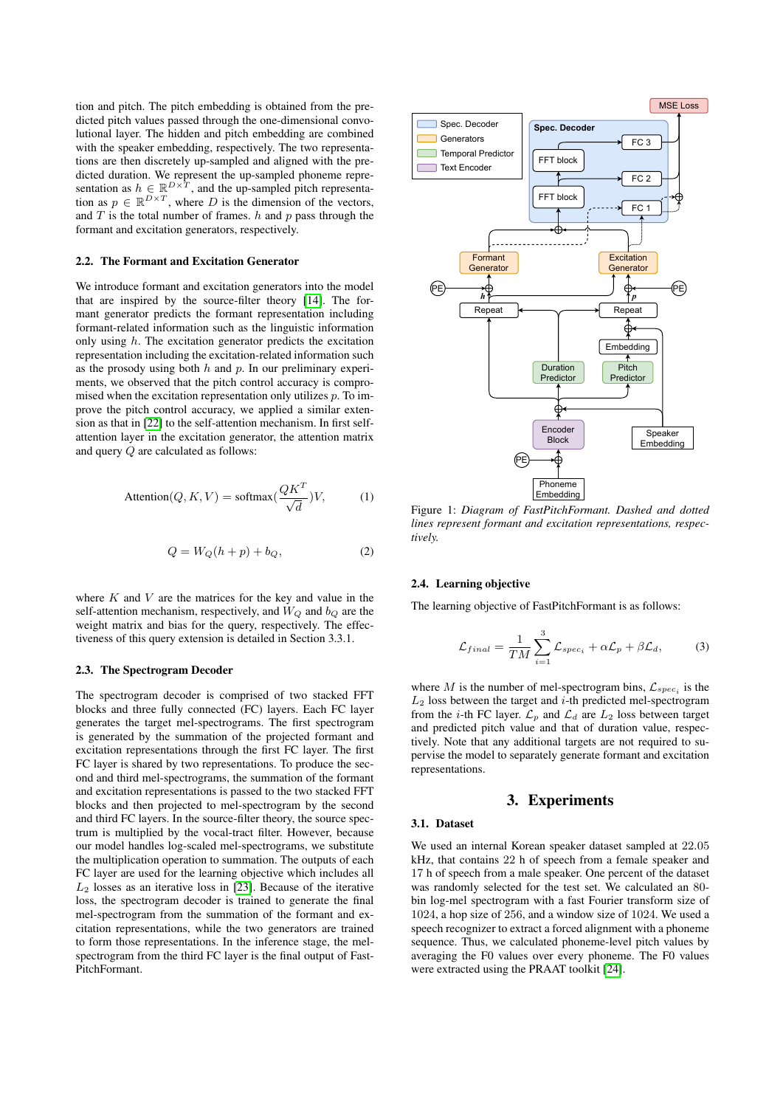tion and pitch. The pitch embedding is obtained from the predicted pitch values passed through the one-dimensional convolutional layer. The hidden and pitch embedding are combined with the speaker embedding, respectively. The two representations are then discretely up-sampled and aligned with the predicted duration. We represent the up-sampled phoneme representation as  $h \in \mathbb{R}^{D \times T}$ , and the up-sampled pitch representation as  $p \in \mathbb{R}^{D \times T}$ , where D is the dimension of the vectors, and  $T$  is the total number of frames.  $h$  and  $p$  pass through the formant and excitation generators, respectively.

### 2.2. The Formant and Excitation Generator

We introduce formant and excitation generators into the model that are inspired by the source-filter theory [\[14\]](#page-4-6). The formant generator predicts the formant representation including formant-related information such as the linguistic information only using  $h$ . The excitation generator predicts the excitation representation including the excitation-related information such as the prosody using both  $h$  and  $p$ . In our preliminary experiments, we observed that the pitch control accuracy is compromised when the excitation representation only utilizes  $p$ . To improve the pitch control accuracy, we applied a similar extension as that in [\[22\]](#page-4-13) to the self-attention mechanism. In first selfattention layer in the excitation generator, the attention matrix and query Q are calculated as follows:

$$
Attention(Q, K, V) = softmax(\frac{QK^{T}}{\sqrt{d}})V,
$$
 (1)

<span id="page-1-0"></span>
$$
Q = W_Q(h+p) + b_Q,\t\t(2)
$$

where  $K$  and  $V$  are the matrices for the key and value in the self-attention mechanism, respectively, and  $W_Q$  and  $b_Q$  are the weight matrix and bias for the query, respectively. The effectiveness of this query extension is detailed in Section 3.3.1.

### 2.3. The Spectrogram Decoder

The spectrogram decoder is comprised of two stacked FFT blocks and three fully connected (FC) layers. Each FC layer generates the target mel-spectrograms. The first spectrogram is generated by the summation of the projected formant and excitation representations through the first FC layer. The first FC layer is shared by two representations. To produce the second and third mel-spectrograms, the summation of the formant and excitation representations is passed to the two stacked FFT blocks and then projected to mel-spectrogram by the second and third FC layers. In the source-filter theory, the source spectrum is multiplied by the vocal-tract filter. However, because our model handles log-scaled mel-spectrograms, we substitute the multiplication operation to summation. The outputs of each FC layer are used for the learning objective which includes all  $L_2$  losses as an iterative loss in [\[23\]](#page-4-14). Because of the iterative loss, the spectrogram decoder is trained to generate the final mel-spectrogram from the summation of the formant and excitation representations, while the two generators are trained to form those representations. In the inference stage, the melspectrogram from the third FC layer is the final output of Fast-PitchFormant.



Figure 1: *Diagram of FastPitchFormant. Dashed and dotted lines represent formant and excitation representations, respectively.*

# 2.4. Learning objective

The learning objective of FastPitchFormant is as follows:

$$
\mathcal{L}_{final} = \frac{1}{TM} \sum_{i=1}^{3} \mathcal{L}_{spec_i} + \alpha \mathcal{L}_p + \beta \mathcal{L}_d,
$$
 (3)

where M is the number of mel-spectrogram bins,  $\mathcal{L}_{spec_i}$  is the  $L_2$  loss between the target and  $i$ -th predicted mel-spectrogram from the *i*-th FC layer.  $\mathcal{L}_p$  and  $\mathcal{L}_d$  are  $L_2$  loss between target and predicted pitch value and that of duration value, respectively. Note that any additional targets are not required to supervise the model to separately generate formant and excitation representations.

# 3. Experiments

### 3.1. Dataset

We used an internal Korean speaker dataset sampled at 22.05 kHz, that contains 22 h of speech from a female speaker and 17 h of speech from a male speaker. One percent of the dataset was randomly selected for the test set. We calculated an 80 bin log-mel spectrogram with a fast Fourier transform size of 1024, a hop size of 256, and a window size of 1024. We used a speech recognizer to extract a forced alignment with a phoneme sequence. Thus, we calculated phoneme-level pitch values by averaging the F0 values over every phoneme. The F0 values were extracted using the PRAAT toolkit [\[24\]](#page-4-15).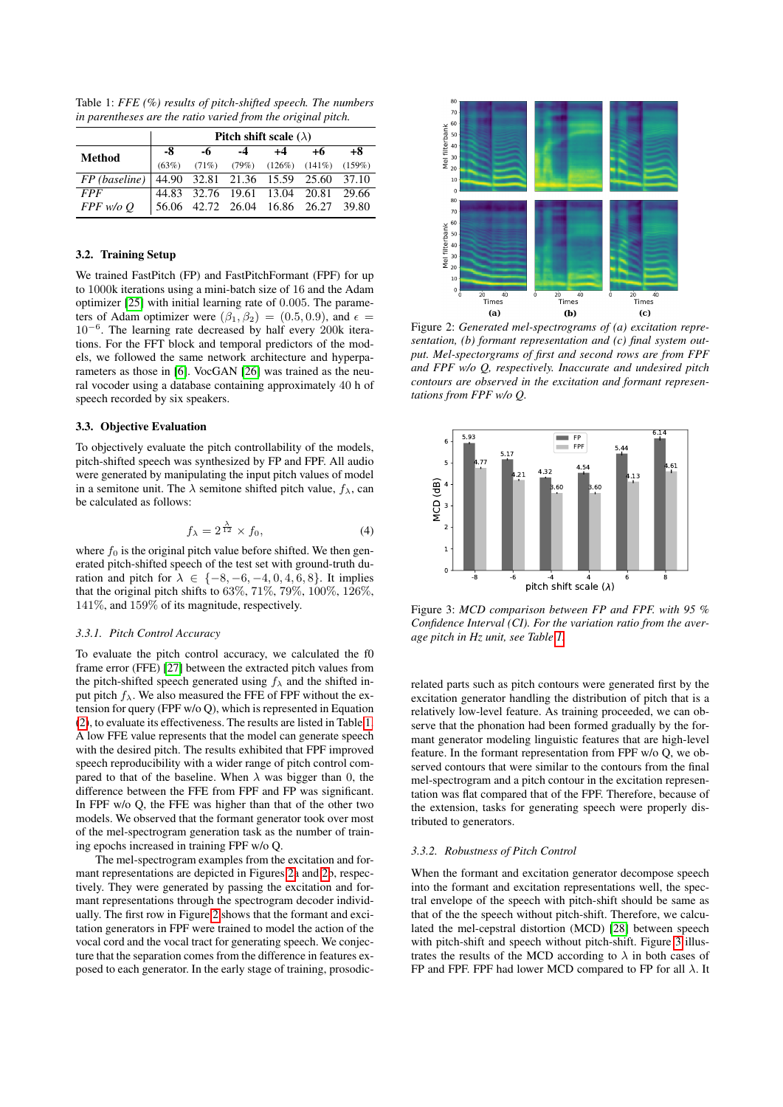<span id="page-2-0"></span>Table 1: *FFE (%) results of pitch-shifted speech. The numbers in parentheses are the ratio varied from the original pitch.*

|                                                     | Pitch shift scale $(\lambda)$ |    |      |                                                 |    |    |  |
|-----------------------------------------------------|-------------------------------|----|------|-------------------------------------------------|----|----|--|
| <b>Method</b>                                       | -8                            | -6 | $-4$ | $+4$                                            | +6 | +8 |  |
|                                                     | (63%)                         |    |      | $(71\%)$ $(79\%)$ $(126\%)$ $(141\%)$ $(159\%)$ |    |    |  |
| $FP (baseline)$ 44.90 32.81 21.36 15.59 25.60 37.10 |                               |    |      |                                                 |    |    |  |
| <i>FPF</i>                                          |                               |    |      | 44.83 32.76 19.61 13.04 20.81 29.66             |    |    |  |
| $FPF$ w/o $O$                                       |                               |    |      | 56.06 42.72 26.04 16.86 26.27 39.80             |    |    |  |

# 3.2. Training Setup

We trained FastPitch (FP) and FastPitchFormant (FPF) for up to 1000k iterations using a mini-batch size of 16 and the Adam optimizer [\[25\]](#page-4-16) with initial learning rate of 0.005. The parameters of Adam optimizer were  $(\beta_1, \beta_2) = (0.5, 0.9)$ , and  $\epsilon =$ 10<sup>−</sup><sup>6</sup> . The learning rate decreased by half every 200k iterations. For the FFT block and temporal predictors of the models, we followed the same network architecture and hyperparameters as those in [\[6\]](#page-4-3). VocGAN [\[26\]](#page-4-17) was trained as the neural vocoder using a database containing approximately 40 h of speech recorded by six speakers.

### 3.3. Objective Evaluation

To objectively evaluate the pitch controllability of the models, pitch-shifted speech was synthesized by FP and FPF. All audio were generated by manipulating the input pitch values of model in a semitone unit. The  $\lambda$  semitone shifted pitch value,  $f_{\lambda}$ , can be calculated as follows:

<span id="page-2-3"></span>
$$
f_{\lambda} = 2^{\frac{\lambda}{12}} \times f_0,\tag{4}
$$

where  $f_0$  is the original pitch value before shifted. We then generated pitch-shifted speech of the test set with ground-truth duration and pitch for  $\lambda \in \{-8, -6, -4, 0, 4, 6, 8\}$ . It implies that the original pitch shifts to 63%, 71%, 79%, 100%, 126%, 141%, and 159% of its magnitude, respectively.

### *3.3.1. Pitch Control Accuracy*

To evaluate the pitch control accuracy, we calculated the f0 frame error (FFE) [\[27\]](#page-4-18) between the extracted pitch values from the pitch-shifted speech generated using  $f_{\lambda}$  and the shifted input pitch  $f_{\lambda}$ . We also measured the FFE of FPF without the extension for query (FPF w/o Q), which is represented in Equation [\(2\)](#page-1-0), to evaluate its effectiveness. The results are listed in Table [1.](#page-2-0) A low FFE value represents that the model can generate speech with the desired pitch. The results exhibited that FPF improved speech reproducibility with a wider range of pitch control compared to that of the baseline. When  $\lambda$  was bigger than 0, the difference between the FFE from FPF and FP was significant. In FPF w/o Q, the FFE was higher than that of the other two models. We observed that the formant generator took over most of the mel-spectrogram generation task as the number of training epochs increased in training FPF w/o Q.

The mel-spectrogram examples from the excitation and formant representations are depicted in Figures [2a](#page-2-1) and [2b](#page-2-1), respectively. They were generated by passing the excitation and formant representations through the spectrogram decoder individually. The first row in Figure [2](#page-2-1) shows that the formant and excitation generators in FPF were trained to model the action of the vocal cord and the vocal tract for generating speech. We conjecture that the separation comes from the difference in features exposed to each generator. In the early stage of training, prosodic-

<span id="page-2-1"></span>

Figure 2: *Generated mel-spectrograms of (a) excitation representation, (b) formant representation and (c) final system output. Mel-spectorgrams of first and second rows are from FPF and FPF w/o Q, respectively. Inaccurate and undesired pitch contours are observed in the excitation and formant representations from FPF w/o Q.*

<span id="page-2-2"></span>

Figure 3: *MCD comparison between FP and FPF. with 95 % Confidence Interval (CI). For the variation ratio from the average pitch in Hz unit, see Table [1.](#page-2-0)*

related parts such as pitch contours were generated first by the excitation generator handling the distribution of pitch that is a relatively low-level feature. As training proceeded, we can observe that the phonation had been formed gradually by the formant generator modeling linguistic features that are high-level feature. In the formant representation from FPF w/o Q, we observed contours that were similar to the contours from the final mel-spectrogram and a pitch contour in the excitation representation was flat compared that of the FPF. Therefore, because of the extension, tasks for generating speech were properly distributed to generators.

### *3.3.2. Robustness of Pitch Control*

When the formant and excitation generator decompose speech into the formant and excitation representations well, the spectral envelope of the speech with pitch-shift should be same as that of the the speech without pitch-shift. Therefore, we calculated the mel-cepstral distortion (MCD) [\[28\]](#page-4-19) between speech with pitch-shift and speech without pitch-shift. Figure [3](#page-2-2) illustrates the results of the MCD according to  $\lambda$  in both cases of FP and FPF. FPF had lower MCD compared to FP for all  $\lambda$ . It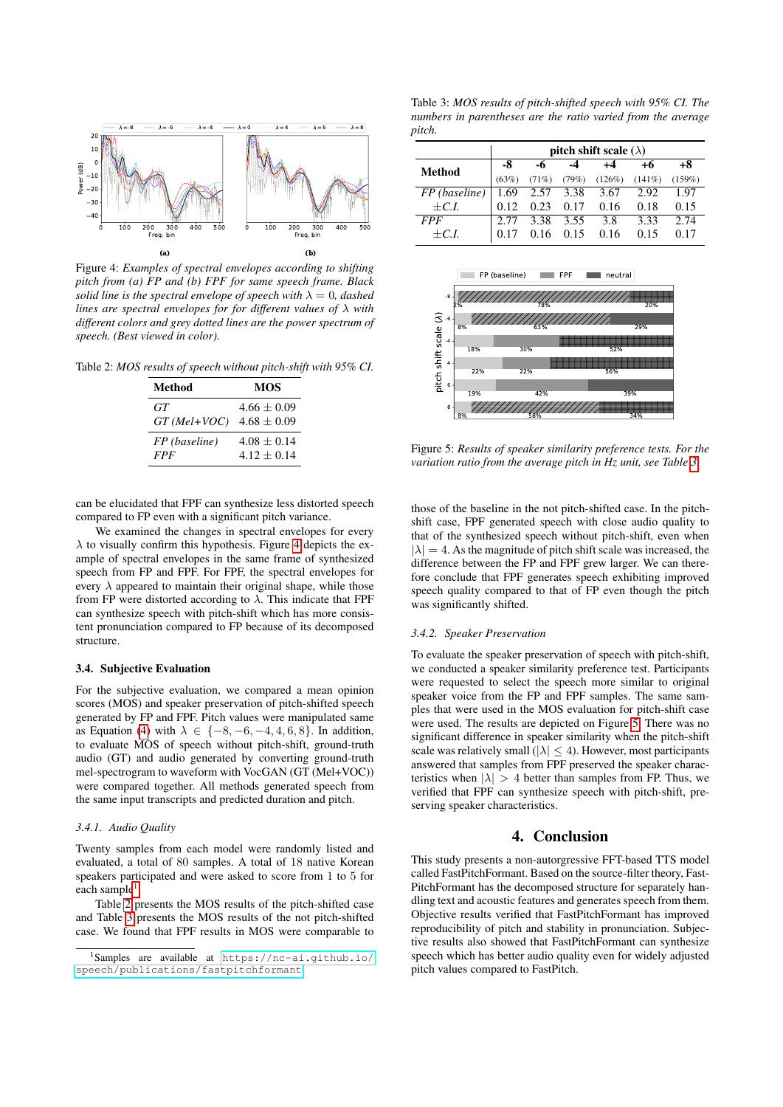<span id="page-3-0"></span>

Figure 4: *Examples of spectral envelopes according to shifting pitch from (a) FP and (b) FPF for same speech frame. Black solid line is the spectral envelope of speech with*  $\lambda = 0$ *, dashed lines are spectral envelopes for for different values of* λ *with different colors and grey dotted lines are the power spectrum of speech. (Best viewed in color).*

<span id="page-3-2"></span>Table 2: *MOS results of speech without pitch-shift with 95% CI.*

| Method         | MOS             |
|----------------|-----------------|
| GT             | $4.66 \pm 0.09$ |
| $GT$ (Mel+VOC) | $4.68 \pm 0.09$ |
| FP (baseline)  | $4.08 + 0.14$   |
| <b>FPF</b>     | $4.12 + 0.14$   |

can be elucidated that FPF can synthesize less distorted speech compared to FP even with a significant pitch variance.

We examined the changes in spectral envelopes for every  $\lambda$  to visually confirm this hypothesis. Figure [4](#page-3-0) depicts the example of spectral envelopes in the same frame of synthesized speech from FP and FPF. For FPF, the spectral envelopes for every  $\lambda$  appeared to maintain their original shape, while those from FP were distorted according to  $\lambda$ . This indicate that FPF can synthesize speech with pitch-shift which has more consistent pronunciation compared to FP because of its decomposed structure.

# 3.4. Subjective Evaluation

For the subjective evaluation, we compared a mean opinion scores (MOS) and speaker preservation of pitch-shifted speech generated by FP and FPF. Pitch values were manipulated same as Equation [\(4\)](#page-2-3) with  $\lambda \in \{-8, -6, -4, 4, 6, 8\}$ . In addition, to evaluate MOS of speech without pitch-shift, ground-truth audio (GT) and audio generated by converting ground-truth mel-spectrogram to waveform with VocGAN (GT (Mel+VOC)) were compared together. All methods generated speech from the same input transcripts and predicted duration and pitch.

# *3.4.1. Audio Quality*

Twenty samples from each model were randomly listed and evaluated, a total of 80 samples. A total of 18 native Korean speakers participated and were asked to score from 1 to 5 for each sample<sup>[1](#page-3-1)</sup>.

Table [2](#page-3-2) presents the MOS results of the pitch-shifted case and Table [3](#page-3-3) presents the MOS results of the not pitch-shifted case. We found that FPF results in MOS were comparable to

<span id="page-3-3"></span>Table 3: *MOS results of pitch-shifted speech with 95% CI. The numbers in parentheses are the ratio varied from the average pitch.*

|               | pitch shift scale $(\lambda)$ |           |       |           |           |           |  |
|---------------|-------------------------------|-----------|-------|-----------|-----------|-----------|--|
| <b>Method</b> | -8                            | -6        | -4    | $+4$      | +6        | +8        |  |
|               | (63%)                         | (71%)     | (79%) | $(126\%)$ | $(141\%)$ | $(159\%)$ |  |
| FP (baseline) | 1.69                          | 2.57 3.38 |       | 3.67      | 2.92      | 1.97      |  |
| $+C.L$        | 012                           | 0.23      | 0.17  | 0.16      | 0.18      | 0.15      |  |
| <b>FPF</b>    | 2.77                          | 3.38      | 3.55  | 3.8       | 3.33      | 2.74      |  |
| $+C.L$        |                               | 0.16      | 0.15  | 0.16      | 0.15      |           |  |

<span id="page-3-4"></span>

Figure 5: *Results of speaker similarity preference tests. For the variation ratio from the average pitch in Hz unit, see Table [3.](#page-3-3)*

those of the baseline in the not pitch-shifted case. In the pitchshift case, FPF generated speech with close audio quality to that of the synthesized speech without pitch-shift, even when  $|\lambda| = 4$ . As the magnitude of pitch shift scale was increased, the difference between the FP and FPF grew larger. We can therefore conclude that FPF generates speech exhibiting improved speech quality compared to that of FP even though the pitch was significantly shifted.

### *3.4.2. Speaker Preservation*

To evaluate the speaker preservation of speech with pitch-shift, we conducted a speaker similarity preference test. Participants were requested to select the speech more similar to original speaker voice from the FP and FPF samples. The same samples that were used in the MOS evaluation for pitch-shift case were used. The results are depicted on Figure [5.](#page-3-4) There was no significant difference in speaker similarity when the pitch-shift scale was relatively small ( $|\lambda| \leq 4$ ). However, most participants answered that samples from FPF preserved the speaker characteristics when  $|\lambda| > 4$  better than samples from FP. Thus, we verified that FPF can synthesize speech with pitch-shift, preserving speaker characteristics.

# 4. Conclusion

This study presents a non-autorgressive FFT-based TTS model called FastPitchFormant. Based on the source-filter theory, Fast-PitchFormant has the decomposed structure for separately handling text and acoustic features and generates speech from them. Objective results verified that FastPitchFormant has improved reproducibility of pitch and stability in pronunciation. Subjective results also showed that FastPitchFormant can synthesize speech which has better audio quality even for widely adjusted pitch values compared to FastPitch.

<span id="page-3-1"></span><sup>1</sup>Samples are available at [https://nc-ai.github.io/](https://nc-ai.github.io/speech/publications/fastpitchformant) [speech/publications/fastpitchformant](https://nc-ai.github.io/speech/publications/fastpitchformant).